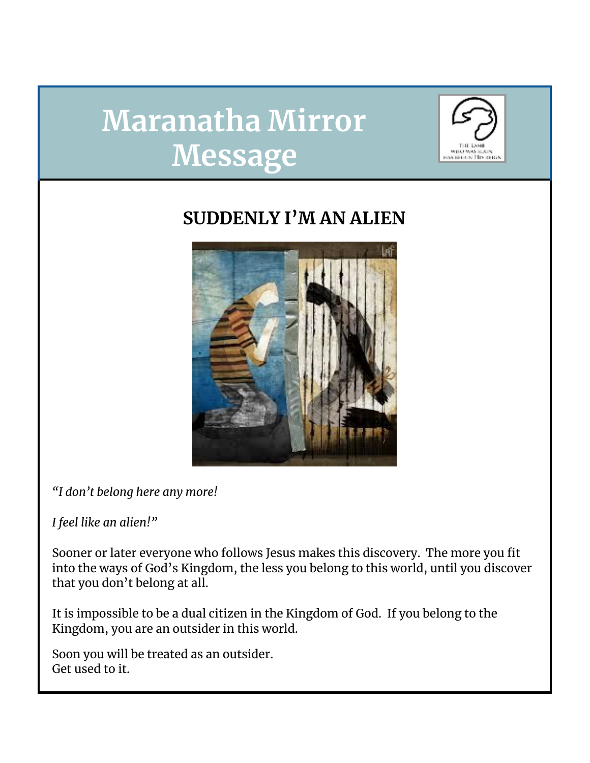# **Maranatha Mirror Message**



# **SUDDENLY I'M AN ALIEN**



*"I don't belong here any more!*

*I feel like an alien!"*

Sooner or later everyone who follows Jesus makes this discovery. The more you fit into the ways of God's Kingdom, the less you belong to this world, until you discover that you don't belong at all.

It is impossible to be a dual citizen in the Kingdom of God. If you belong to the Kingdom, you are an outsider in this world.

Soon you will be treated as an outsider. Get used to it.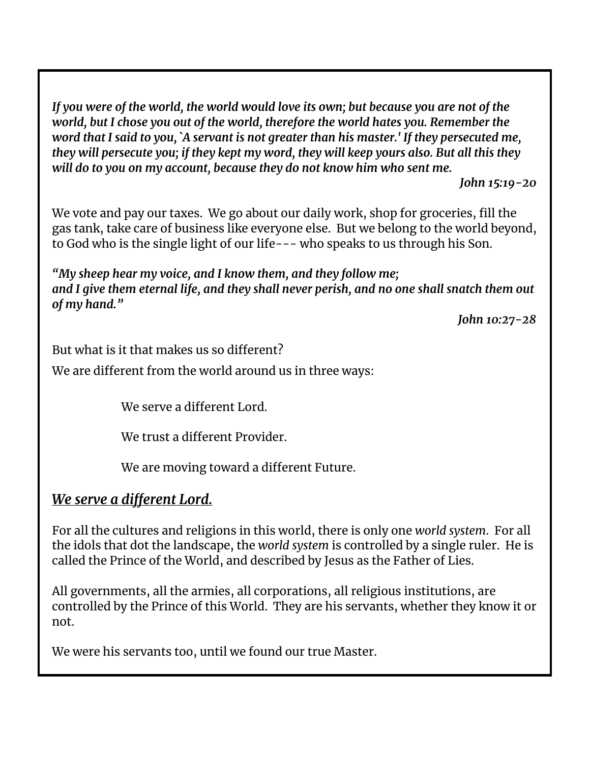*If you were of the world, the world would love its own; but because you are not of the world, but I chose you out of the world, therefore the world hates you. Remember the word that I said to you, `A servant is not greater than his master.' If they persecuted me, they will persecute you; if they kept my word, they will keep yours also. But all this they will do to you on my account, because they do not know him who sent me.*

*John 15:19-20*

We vote and pay our taxes. We go about our daily work, shop for groceries, fill the gas tank, take care of business like everyone else. But we belong to the world beyond, to God who is the single light of our life--- who speaks to us through his Son.

*"My sheep hear my voice, and I know them, and they follow me; and I give them eternal life, and they shall never perish, and no one shall snatch them out of my hand."*

*John 10:27-28*

But what is it that makes us so different?

We are different from the world around us in three ways:

We serve a different Lord.

We trust a different Provider.

We are moving toward a different Future.

# *We serve a different Lord.*

For all the cultures and religions in this world, there is only one *world system*. For all the idols that dot the landscape, the *world system* is controlled by a single ruler. He is called the Prince of the World, and described by Jesus as the Father of Lies.

All governments, all the armies, all corporations, all religious institutions, are controlled by the Prince of this World. They are his servants, whether they know it or not.

We were his servants too, until we found our true Master.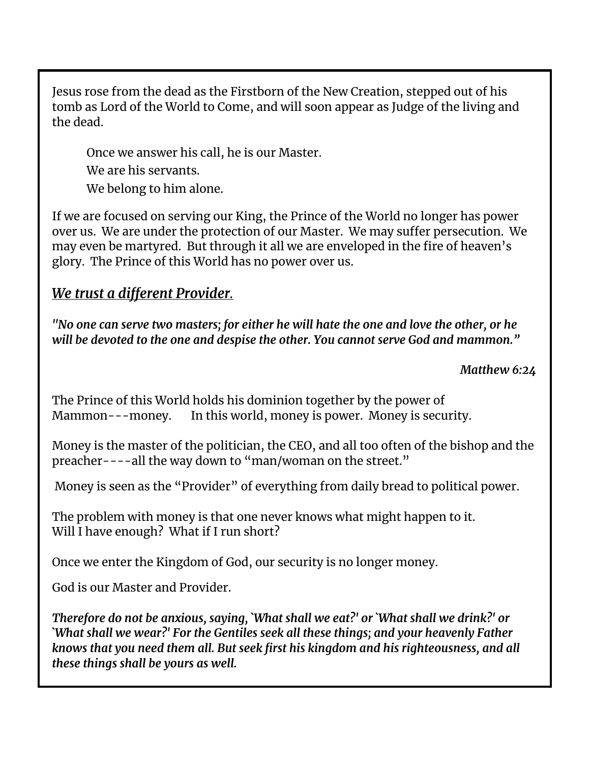Jesus rose from the dead as the Firstborn of the New Creation, stepped out of his tomb as Lord of the World to Come, and will soon appear as Judge of the living and the dead.

Once we answer his call, he is our Master. We are his servants. We belong to him alone.

If we are focused on serving our King, the Prince of the World no longer has power over us. We are under the protection of our Master. We may suffer persecution. We may even be martyred. But through it all we are enveloped in the fire of heaven's glory. The Prince of this World has no power over us.

# *We trust a different Provider.*

*"No one can serve two masters; for either he will hate the one and love the other, or he will be devoted to the one and despise the other. You cannot serve God and mammon."*

*Matthew 6:24*

The Prince of this World holds his dominion together by the power of Mammon---money. In this world, money is power. Money is security.

Money is the master of the politician, the CEO, and all too often of the bishop and the preacher----all the way down to "man/woman on the street."

Money is seen as the "Provider" of everything from daily bread to political power.

The problem with money is that one never knows what might happen to it. Will I have enough? What if I run short?

Once we enter the Kingdom of God, our security is no longer money.

God is our Master and Provider.

*Therefore do not be anxious, saying, `What shall we eat?' or `What shall we drink?' or `What shall we wear?' For the Gentiles seek all these things; and your heavenly Father knows that you need them all. But seek first his kingdom and his righteousness, and all these things shall be yours as well.*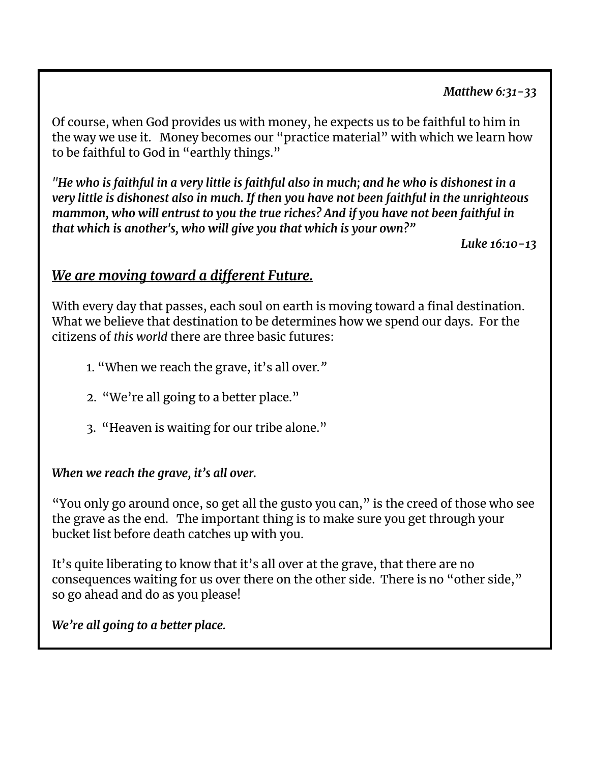#### *Matthew 6:31-33*

Of course, when God provides us with money, he expects us to be faithful to him in the way we use it. Money becomes our "practice material" with which we learn how to be faithful to God in "earthly things."

"He who is faithful in a very little is faithful also in much; and he who is dishonest in a *very little is dishonest also in much. If then you have not been faithful in the unrighteous mammon, who will entrust to you the true riches? And if you have not been faithful in that which is another's, who will give you that which is your own?"*

*Luke 16:10-13*

### *We are moving toward a different Future.*

With every day that passes, each soul on earth is moving toward a final destination. What we believe that destination to be determines how we spend our days. For the citizens of *this world* there are three basic futures:

- 1. "When we reach the grave, it's all over*."*
- 2. "We're all going to a better place."
- 3. "Heaven is waiting for our tribe alone."

#### *When we reach the grave, it's all over.*

"You only go around once, so get all the gusto you can," is the creed of those who see the grave as the end. The important thing is to make sure you get through your bucket list before death catches up with you.

It's quite liberating to know that it's all over at the grave, that there are no consequences waiting for us over there on the other side. There is no "other side," so go ahead and do as you please!

*We're all going to a better place.*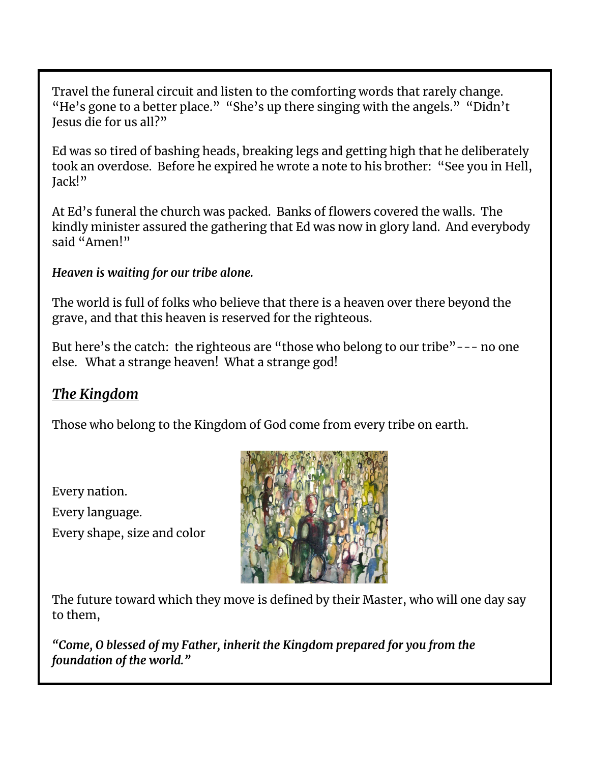Travel the funeral circuit and listen to the comforting words that rarely change. "He's gone to a better place." "She's up there singing with the angels." "Didn't Jesus die for us all?"

Ed was so tired of bashing heads, breaking legs and getting high that he deliberately took an overdose. Before he expired he wrote a note to his brother: "See you in Hell, Jack!"

At Ed's funeral the church was packed. Banks of flowers covered the walls. The kindly minister assured the gathering that Ed was now in glory land. And everybody said "Amen!"

#### *Heaven is waiting for our tribe alone.*

The world is full of folks who believe that there is a heaven over there beyond the grave, and that this heaven is reserved for the righteous.

But here's the catch: the righteous are "those who belong to our tribe"--- no one else. What a strange heaven! What a strange god!

# *The Kingdom*

Those who belong to the Kingdom of God come from every tribe on earth.

Every nation.

Every language.

Every shape, size and color



The future toward which they move is defined by their Master, who will one day say to them,

*"Come, O blessed of my Father, inherit the Kingdom prepared for you from the foundation of the world."*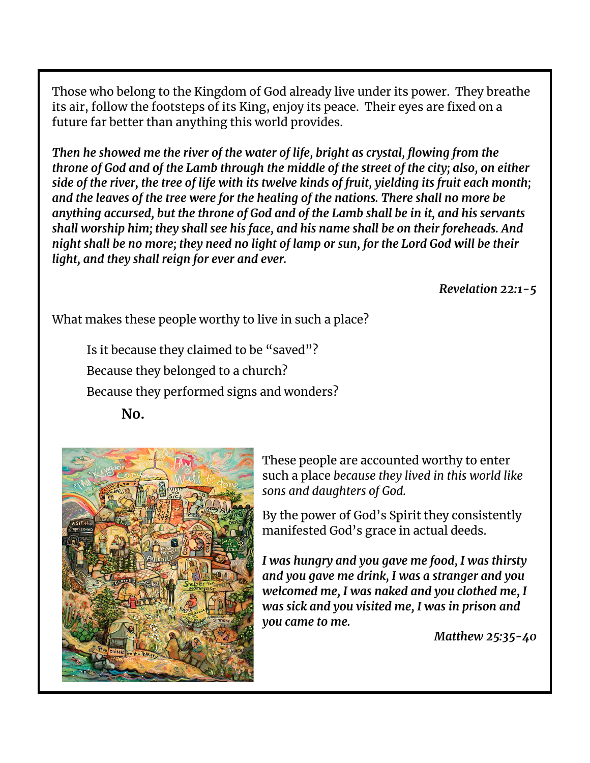Those who belong to the Kingdom of God already live under its power. They breathe its air, follow the footsteps of its King, enjoy its peace. Their eyes are fixed on a future far better than anything this world provides.

*Then he showed me the river of the water of life, bright as crystal, flowing from the throne of God and of the Lamb through the middle of the street of the city; also, on either* side of the river, the tree of life with its twelve kinds of fruit, yielding its fruit each month; *and the leaves of the tree were for the healing of the nations. There shall no more be anything accursed, but the throne of God and of the Lamb shall be in it, and his servants shall worship him; they shall see his face, and his name shall be on their foreheads. And* night shall be no more; they need no light of lamp or sun, for the Lord God will be their *light, and they shall reign for ever and ever.*

*Revelation 22:1-5*

What makes these people worthy to live in such a place?

Is it because they claimed to be "saved"? Because they belonged to a church? Because they performed signs and wonders? **No.**



These people are accounted worthy to enter such a place *because they lived in this world like sons and daughters of God.*

By the power of God's Spirit they consistently manifested God's grace in actual deeds.

*I was hungry and you gave me food, I was thirsty and you gave me drink, I was a stranger and you welcomed me, I was naked and you clothed me, I was sick and you visited me, I was in prison and you came to me.*

*Matthew 25:35-40*